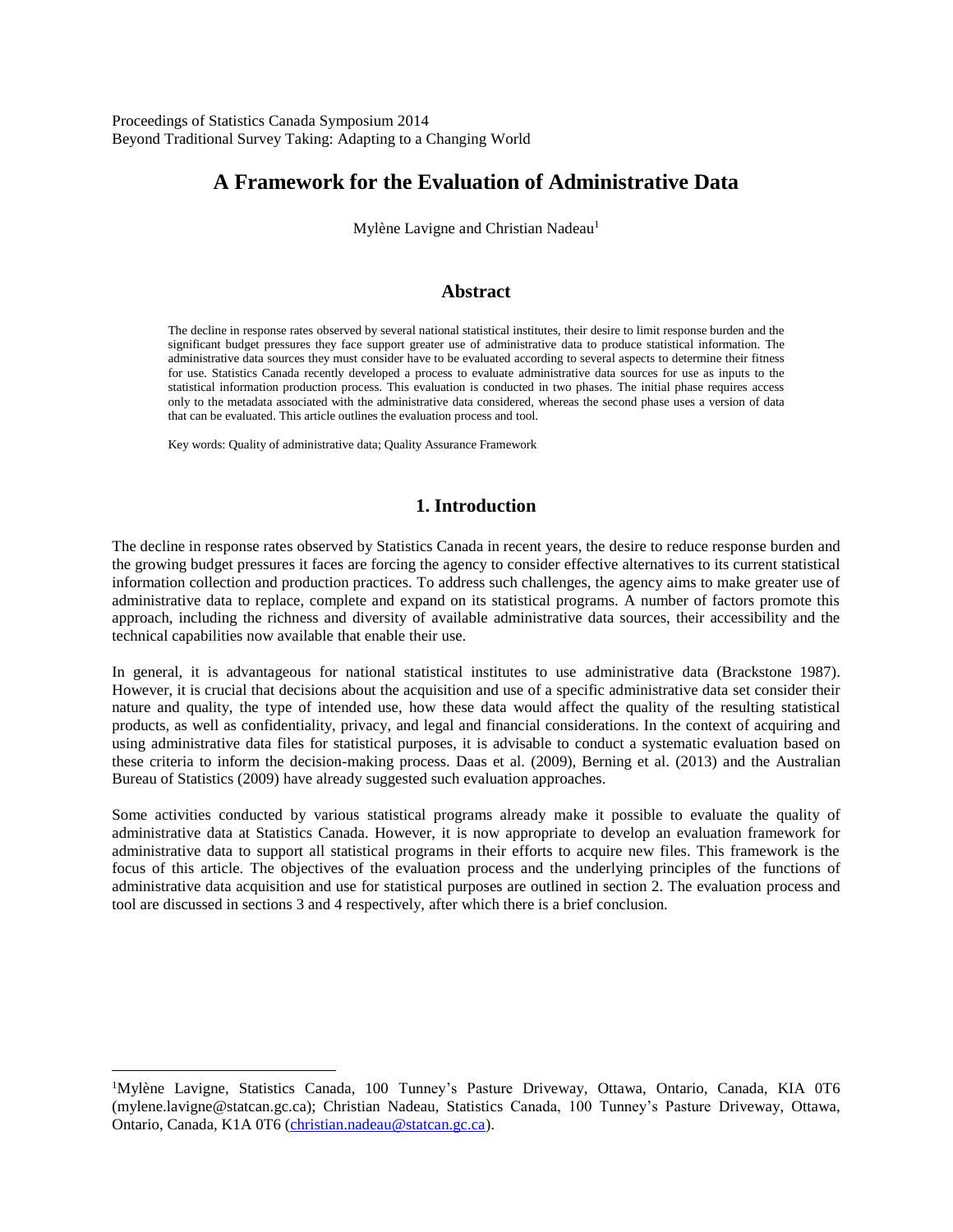Proceedings of Statistics Canada Symposium 2014 Beyond Traditional Survey Taking: Adapting to a Changing World

# **A Framework for the Evaluation of Administrative Data**

Mylène Lavigne and Christian Nadeau<sup>1</sup>

#### **Abstract**

The decline in response rates observed by several national statistical institutes, their desire to limit response burden and the significant budget pressures they face support greater use of administrative data to produce statistical information. The administrative data sources they must consider have to be evaluated according to several aspects to determine their fitness for use. Statistics Canada recently developed a process to evaluate administrative data sources for use as inputs to the statistical information production process. This evaluation is conducted in two phases. The initial phase requires access only to the metadata associated with the administrative data considered, whereas the second phase uses a version of data that can be evaluated. This article outlines the evaluation process and tool.

Key words: Quality of administrative data; Quality Assurance Framework

 $\overline{a}$ 

## **1. Introduction**

The decline in response rates observed by Statistics Canada in recent years, the desire to reduce response burden and the growing budget pressures it faces are forcing the agency to consider effective alternatives to its current statistical information collection and production practices. To address such challenges, the agency aims to make greater use of administrative data to replace, complete and expand on its statistical programs. A number of factors promote this approach, including the richness and diversity of available administrative data sources, their accessibility and the technical capabilities now available that enable their use.

In general, it is advantageous for national statistical institutes to use administrative data (Brackstone 1987). However, it is crucial that decisions about the acquisition and use of a specific administrative data set consider their nature and quality, the type of intended use, how these data would affect the quality of the resulting statistical products, as well as confidentiality, privacy, and legal and financial considerations. In the context of acquiring and using administrative data files for statistical purposes, it is advisable to conduct a systematic evaluation based on these criteria to inform the decision-making process. Daas et al. (2009), Berning et al. (2013) and the Australian Bureau of Statistics (2009) have already suggested such evaluation approaches.

Some activities conducted by various statistical programs already make it possible to evaluate the quality of administrative data at Statistics Canada. However, it is now appropriate to develop an evaluation framework for administrative data to support all statistical programs in their efforts to acquire new files. This framework is the focus of this article. The objectives of the evaluation process and the underlying principles of the functions of administrative data acquisition and use for statistical purposes are outlined in section 2. The evaluation process and tool are discussed in sections 3 and 4 respectively, after which there is a brief conclusion.

<sup>1</sup>Mylène Lavigne, Statistics Canada, 100 Tunney's Pasture Driveway, Ottawa, Ontario, Canada, KIA 0T6 (mylene.lavigne@statcan.gc.ca); Christian Nadeau, Statistics Canada, 100 Tunney's Pasture Driveway, Ottawa, Ontario, Canada, K1A 0T6 [\(christian.nadeau@statcan.gc.ca\)](mailto:christian.nadeau@statcan.gc.ca).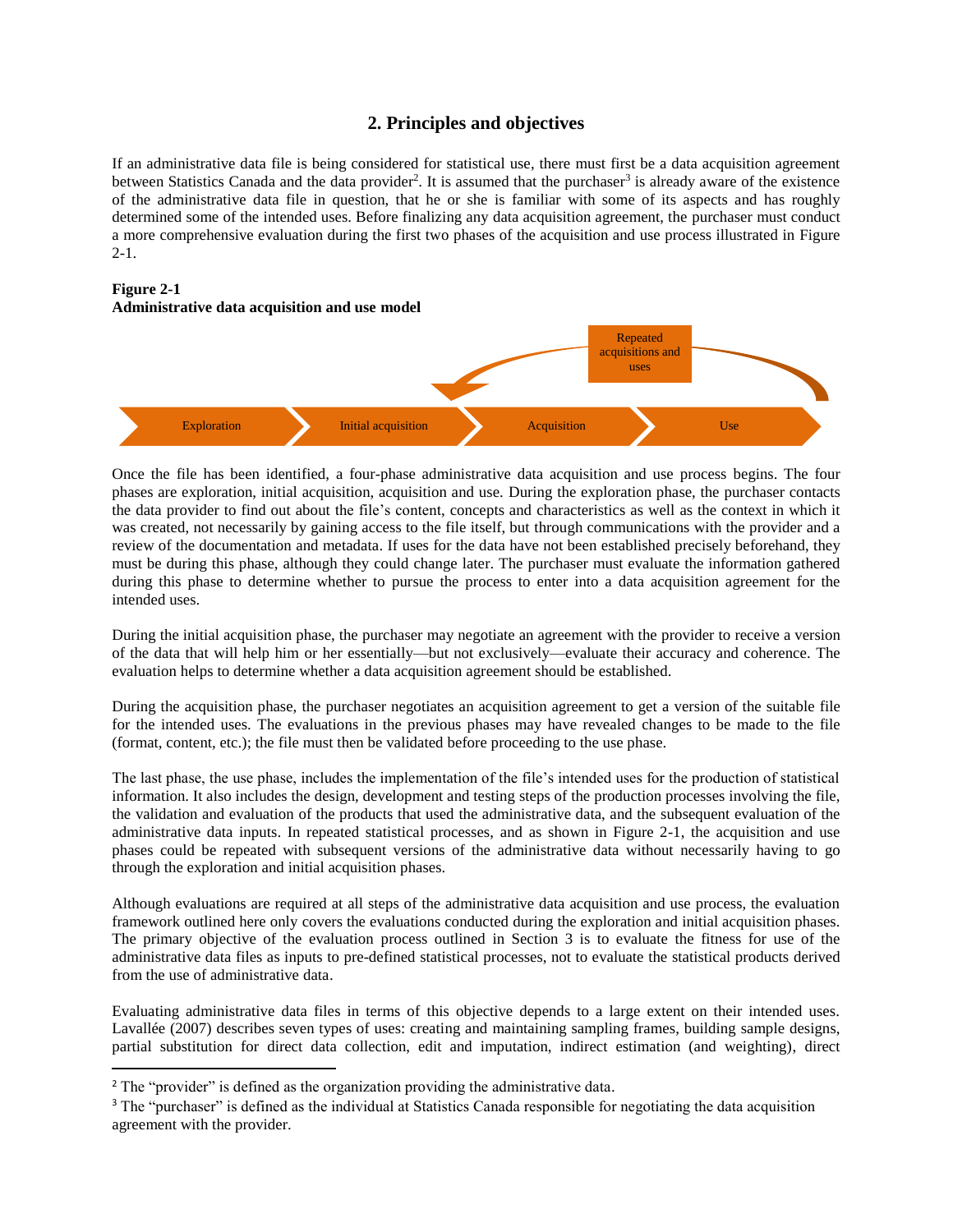## **2. Principles and objectives**

If an administrative data file is being considered for statistical use, there must first be a data acquisition agreement between Statistics Canada and the data provider<sup>2</sup>. It is assumed that the purchaser<sup>3</sup> is already aware of the existence of the administrative data file in question, that he or she is familiar with some of its aspects and has roughly determined some of the intended uses. Before finalizing any data acquisition agreement, the purchaser must conduct a more comprehensive evaluation during the first two phases of the acquisition and use process illustrated in Figure  $2-1$ .

#### **Figure 2-1 Administrative data acquisition and use model**



Once the file has been identified, a four-phase administrative data acquisition and use process begins. The four phases are exploration, initial acquisition, acquisition and use. During the exploration phase, the purchaser contacts the data provider to find out about the file's content, concepts and characteristics as well as the context in which it was created, not necessarily by gaining access to the file itself, but through communications with the provider and a review of the documentation and metadata. If uses for the data have not been established precisely beforehand, they must be during this phase, although they could change later. The purchaser must evaluate the information gathered during this phase to determine whether to pursue the process to enter into a data acquisition agreement for the intended uses.

During the initial acquisition phase, the purchaser may negotiate an agreement with the provider to receive a version of the data that will help him or her essentially—but not exclusively—evaluate their accuracy and coherence. The evaluation helps to determine whether a data acquisition agreement should be established.

During the acquisition phase, the purchaser negotiates an acquisition agreement to get a version of the suitable file for the intended uses. The evaluations in the previous phases may have revealed changes to be made to the file (format, content, etc.); the file must then be validated before proceeding to the use phase.

The last phase, the use phase, includes the implementation of the file's intended uses for the production of statistical information. It also includes the design, development and testing steps of the production processes involving the file, the validation and evaluation of the products that used the administrative data, and the subsequent evaluation of the administrative data inputs. In repeated statistical processes, and as shown in Figure 2-1, the acquisition and use phases could be repeated with subsequent versions of the administrative data without necessarily having to go through the exploration and initial acquisition phases.

Although evaluations are required at all steps of the administrative data acquisition and use process, the evaluation framework outlined here only covers the evaluations conducted during the exploration and initial acquisition phases. The primary objective of the evaluation process outlined in Section 3 is to evaluate the fitness for use of the administrative data files as inputs to pre-defined statistical processes, not to evaluate the statistical products derived from the use of administrative data.

Evaluating administrative data files in terms of this objective depends to a large extent on their intended uses. Lavallée (2007) describes seven types of uses: creating and maintaining sampling frames, building sample designs, partial substitution for direct data collection, edit and imputation, indirect estimation (and weighting), direct

 $\overline{a}$ 

<sup>&</sup>lt;sup>2</sup> The "provider" is defined as the organization providing the administrative data.

<sup>&</sup>lt;sup>3</sup> The "purchaser" is defined as the individual at Statistics Canada responsible for negotiating the data acquisition agreement with the provider.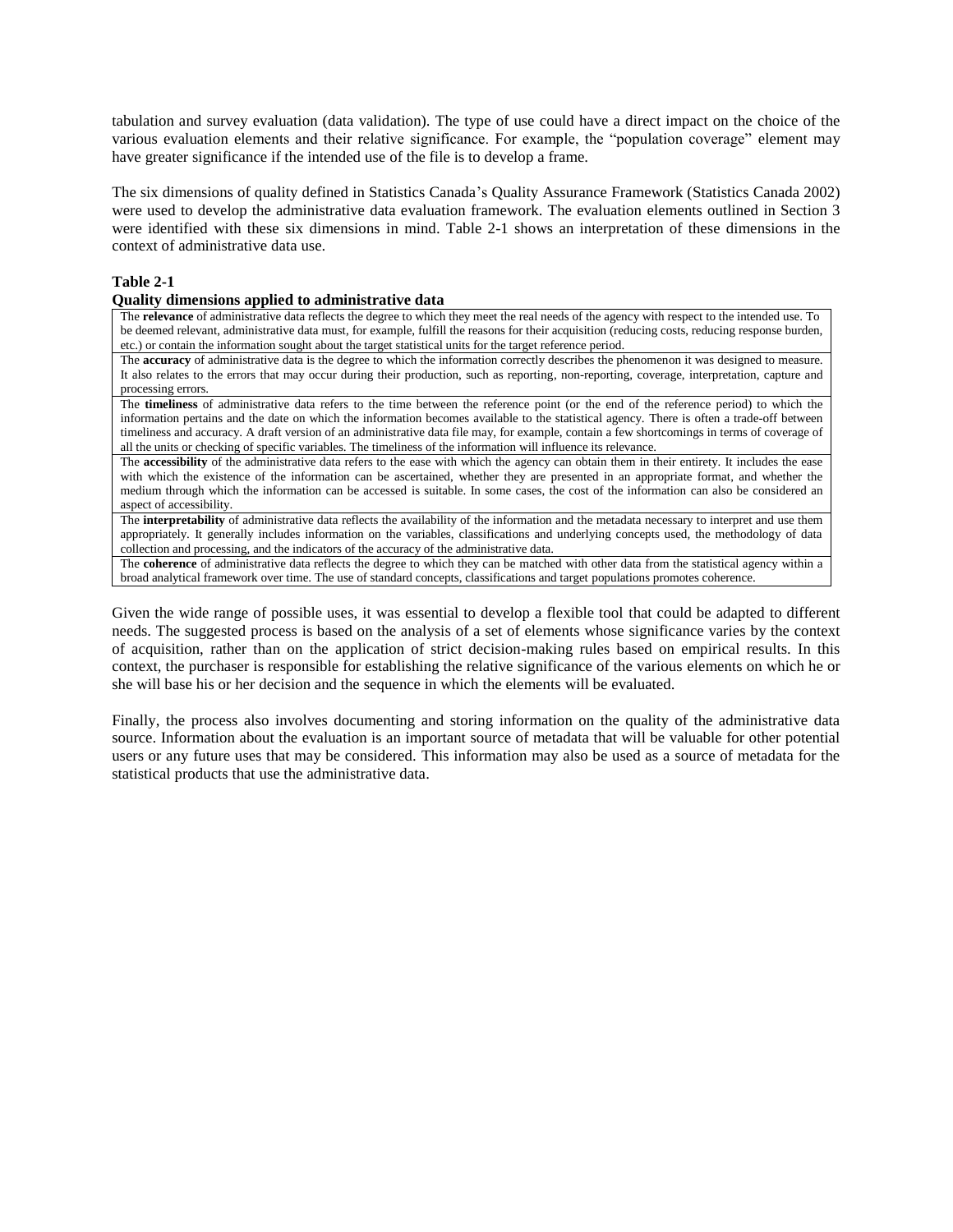tabulation and survey evaluation (data validation). The type of use could have a direct impact on the choice of the various evaluation elements and their relative significance. For example, the "population coverage" element may have greater significance if the intended use of the file is to develop a frame.

The six dimensions of quality defined in Statistics Canada's Quality Assurance Framework (Statistics Canada 2002) were used to develop the administrative data evaluation framework. The evaluation elements outlined in Section 3 were identified with these six dimensions in mind. Table 2-1 shows an interpretation of these dimensions in the context of administrative data use.

#### **Table 2-1**

#### **Quality dimensions applied to administrative data**

The **relevance** of administrative data reflects the degree to which they meet the real needs of the agency with respect to the intended use. To be deemed relevant, administrative data must, for example, fulfill the reasons for their acquisition (reducing costs, reducing response burden, etc.) or contain the information sought about the target statistical units for the target reference period.

The **accuracy** of administrative data is the degree to which the information correctly describes the phenomenon it was designed to measure. It also relates to the errors that may occur during their production, such as reporting, non-reporting, coverage, interpretation, capture and processing errors.

The **timeliness** of administrative data refers to the time between the reference point (or the end of the reference period) to which the information pertains and the date on which the information becomes available to the statistical agency. There is often a trade-off between timeliness and accuracy. A draft version of an administrative data file may, for example, contain a few shortcomings in terms of coverage of all the units or checking of specific variables. The timeliness of the information will influence its relevance.

The **accessibility** of the administrative data refers to the ease with which the agency can obtain them in their entirety. It includes the ease with which the existence of the information can be ascertained, whether they are presented in an appropriate format, and whether the medium through which the information can be accessed is suitable. In some cases, the cost of the information can also be considered an aspect of accessibility.

The **interpretability** of administrative data reflects the availability of the information and the metadata necessary to interpret and use them appropriately. It generally includes information on the variables, classifications and underlying concepts used, the methodology of data collection and processing, and the indicators of the accuracy of the administrative data.

The **coherence** of administrative data reflects the degree to which they can be matched with other data from the statistical agency within a broad analytical framework over time. The use of standard concepts, classifications and target populations promotes coherence.

Given the wide range of possible uses, it was essential to develop a flexible tool that could be adapted to different needs. The suggested process is based on the analysis of a set of elements whose significance varies by the context of acquisition, rather than on the application of strict decision-making rules based on empirical results. In this context, the purchaser is responsible for establishing the relative significance of the various elements on which he or she will base his or her decision and the sequence in which the elements will be evaluated.

Finally, the process also involves documenting and storing information on the quality of the administrative data source. Information about the evaluation is an important source of metadata that will be valuable for other potential users or any future uses that may be considered. This information may also be used as a source of metadata for the statistical products that use the administrative data.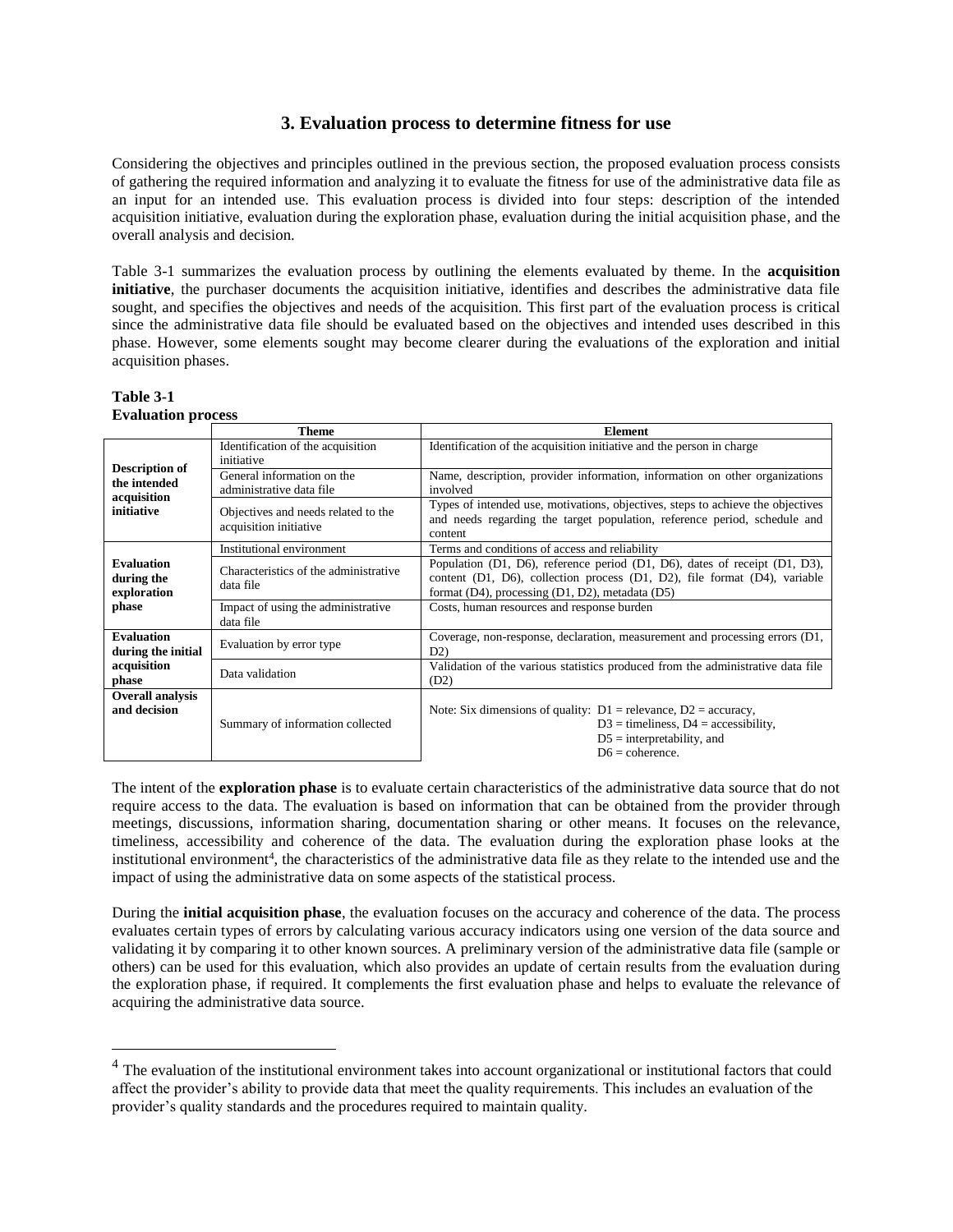## **3. Evaluation process to determine fitness for use**

Considering the objectives and principles outlined in the previous section, the proposed evaluation process consists of gathering the required information and analyzing it to evaluate the fitness for use of the administrative data file as an input for an intended use. This evaluation process is divided into four steps: description of the intended acquisition initiative, evaluation during the exploration phase, evaluation during the initial acquisition phase, and the overall analysis and decision.

Table 3-1 summarizes the evaluation process by outlining the elements evaluated by theme. In the **acquisition initiative**, the purchaser documents the acquisition initiative, identifies and describes the administrative data file sought, and specifies the objectives and needs of the acquisition. This first part of the evaluation process is critical since the administrative data file should be evaluated based on the objectives and intended uses described in this phase. However, some elements sought may become clearer during the evaluations of the exploration and initial acquisition phases.

#### **Table 3-1 Evaluation process**

 $\overline{a}$ 

|                                                                    | <b>Theme</b>                                                  | <b>Element</b>                                                                                                                                                                                                |  |
|--------------------------------------------------------------------|---------------------------------------------------------------|---------------------------------------------------------------------------------------------------------------------------------------------------------------------------------------------------------------|--|
| <b>Description of</b><br>the intended<br>acquisition<br>initiative | Identification of the acquisition                             | Identification of the acquisition initiative and the person in charge                                                                                                                                         |  |
|                                                                    | initiative                                                    |                                                                                                                                                                                                               |  |
|                                                                    | General information on the                                    | Name, description, provider information, information on other organizations                                                                                                                                   |  |
|                                                                    | administrative data file                                      | involved                                                                                                                                                                                                      |  |
|                                                                    | Objectives and needs related to the<br>acquisition initiative | Types of intended use, motivations, objectives, steps to achieve the objectives<br>and needs regarding the target population, reference period, schedule and<br>content                                       |  |
|                                                                    | Institutional environment                                     | Terms and conditions of access and reliability                                                                                                                                                                |  |
| <b>Evaluation</b><br>during the<br>exploration<br>phase            | Characteristics of the administrative<br>data file            | Population (D1, D6), reference period (D1, D6), dates of receipt $(D1, D3)$ ,<br>content (D1, D6), collection process (D1, D2), file format (D4), variable<br>format (D4), processing (D1, D2), metadata (D5) |  |
|                                                                    | Impact of using the administrative<br>data file               | Costs, human resources and response burden                                                                                                                                                                    |  |
| <b>Evaluation</b><br>during the initial                            | Evaluation by error type                                      | Coverage, non-response, declaration, measurement and processing errors (D1,<br>D2)                                                                                                                            |  |
| acquisition<br>phase                                               | Data validation                                               | Validation of the various statistics produced from the administrative data file<br>(D2)                                                                                                                       |  |
| <b>Overall analysis</b>                                            |                                                               |                                                                                                                                                                                                               |  |
| and decision                                                       | Summary of information collected                              | Note: Six dimensions of quality: $D1$ = relevance, $D2$ = accuracy,                                                                                                                                           |  |
|                                                                    |                                                               | $D3 =$ timeliness, $D4 =$ accessibility,                                                                                                                                                                      |  |
|                                                                    |                                                               | $D5$ = interpretability, and                                                                                                                                                                                  |  |
|                                                                    |                                                               | $D6 = \text{coherence}.$                                                                                                                                                                                      |  |

The intent of the **exploration phase** is to evaluate certain characteristics of the administrative data source that do not require access to the data. The evaluation is based on information that can be obtained from the provider through meetings, discussions, information sharing, documentation sharing or other means. It focuses on the relevance, timeliness, accessibility and coherence of the data. The evaluation during the exploration phase looks at the institutional environment<sup>4</sup>, the characteristics of the administrative data file as they relate to the intended use and the impact of using the administrative data on some aspects of the statistical process.

During the **initial acquisition phase**, the evaluation focuses on the accuracy and coherence of the data. The process evaluates certain types of errors by calculating various accuracy indicators using one version of the data source and validating it by comparing it to other known sources. A preliminary version of the administrative data file (sample or others) can be used for this evaluation, which also provides an update of certain results from the evaluation during the exploration phase, if required. It complements the first evaluation phase and helps to evaluate the relevance of acquiring the administrative data source.

<sup>&</sup>lt;sup>4</sup> The evaluation of the institutional environment takes into account organizational or institutional factors that could affect the provider's ability to provide data that meet the quality requirements. This includes an evaluation of the provider's quality standards and the procedures required to maintain quality.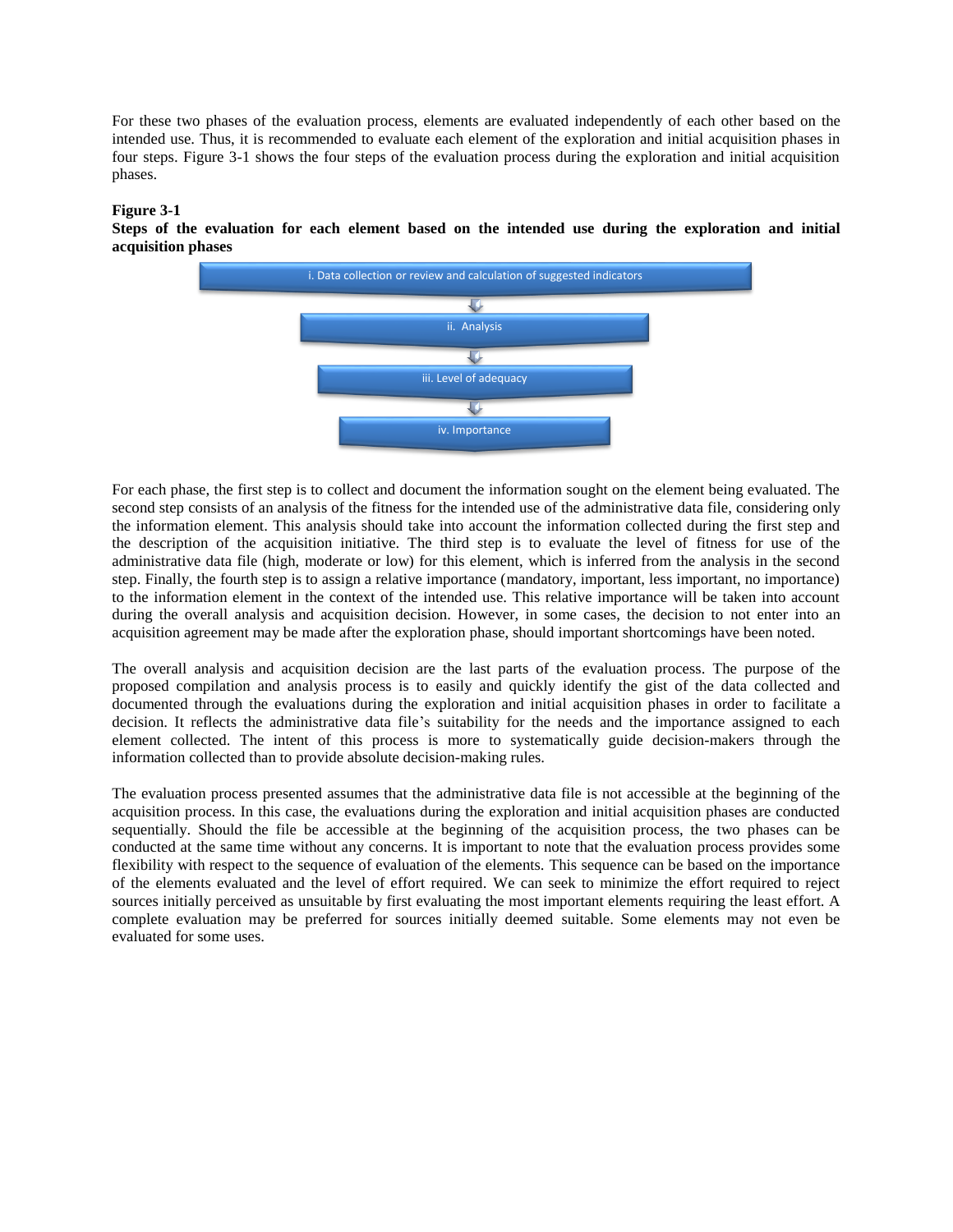For these two phases of the evaluation process, elements are evaluated independently of each other based on the intended use. Thus, it is recommended to evaluate each element of the exploration and initial acquisition phases in four steps. Figure 3-1 shows the four steps of the evaluation process during the exploration and initial acquisition phases.

#### **Figure 3-1**

**Steps of the evaluation for each element based on the intended use during the exploration and initial acquisition phases**



For each phase, the first step is to collect and document the information sought on the element being evaluated. The second step consists of an analysis of the fitness for the intended use of the administrative data file, considering only the information element. This analysis should take into account the information collected during the first step and the description of the acquisition initiative. The third step is to evaluate the level of fitness for use of the administrative data file (high, moderate or low) for this element, which is inferred from the analysis in the second step. Finally, the fourth step is to assign a relative importance (mandatory, important, less important, no importance) to the information element in the context of the intended use. This relative importance will be taken into account during the overall analysis and acquisition decision. However, in some cases, the decision to not enter into an acquisition agreement may be made after the exploration phase, should important shortcomings have been noted.

The overall analysis and acquisition decision are the last parts of the evaluation process. The purpose of the proposed compilation and analysis process is to easily and quickly identify the gist of the data collected and documented through the evaluations during the exploration and initial acquisition phases in order to facilitate a decision. It reflects the administrative data file's suitability for the needs and the importance assigned to each element collected. The intent of this process is more to systematically guide decision-makers through the information collected than to provide absolute decision-making rules.

The evaluation process presented assumes that the administrative data file is not accessible at the beginning of the acquisition process. In this case, the evaluations during the exploration and initial acquisition phases are conducted sequentially. Should the file be accessible at the beginning of the acquisition process, the two phases can be conducted at the same time without any concerns. It is important to note that the evaluation process provides some flexibility with respect to the sequence of evaluation of the elements. This sequence can be based on the importance of the elements evaluated and the level of effort required. We can seek to minimize the effort required to reject sources initially perceived as unsuitable by first evaluating the most important elements requiring the least effort. A complete evaluation may be preferred for sources initially deemed suitable. Some elements may not even be evaluated for some uses.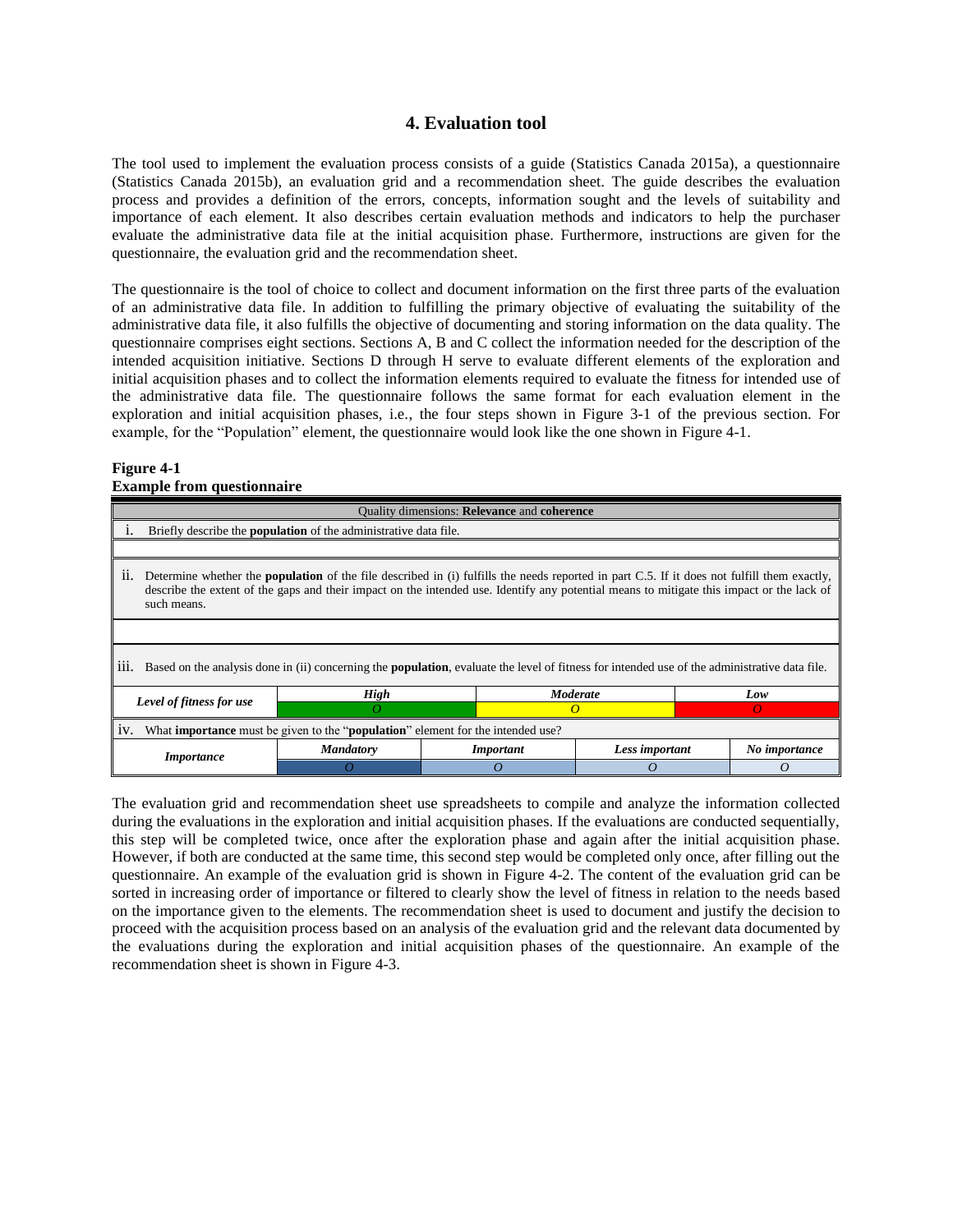### **4. Evaluation tool**

The tool used to implement the evaluation process consists of a guide (Statistics Canada 2015a), a questionnaire (Statistics Canada 2015b), an evaluation grid and a recommendation sheet. The guide describes the evaluation process and provides a definition of the errors, concepts, information sought and the levels of suitability and importance of each element. It also describes certain evaluation methods and indicators to help the purchaser evaluate the administrative data file at the initial acquisition phase. Furthermore, instructions are given for the questionnaire, the evaluation grid and the recommendation sheet.

The questionnaire is the tool of choice to collect and document information on the first three parts of the evaluation of an administrative data file. In addition to fulfilling the primary objective of evaluating the suitability of the administrative data file, it also fulfills the objective of documenting and storing information on the data quality. The questionnaire comprises eight sections. Sections A, B and C collect the information needed for the description of the intended acquisition initiative. Sections D through H serve to evaluate different elements of the exploration and initial acquisition phases and to collect the information elements required to evaluate the fitness for intended use of the administrative data file. The questionnaire follows the same format for each evaluation element in the exploration and initial acquisition phases, i.e., the four steps shown in Figure 3-1 of the previous section. For example, for the "Population" element, the questionnaire would look like the one shown in Figure 4-1.

#### **Figure 4-1 Example from questionnaire**

| Quality dimensions: Relevance and coherence                                                                                                                                                                                                                                                                           |                  |  |                  |                |                |               |  |  |
|-----------------------------------------------------------------------------------------------------------------------------------------------------------------------------------------------------------------------------------------------------------------------------------------------------------------------|------------------|--|------------------|----------------|----------------|---------------|--|--|
| Briefly describe the <b>population</b> of the administrative data file.                                                                                                                                                                                                                                               |                  |  |                  |                |                |               |  |  |
|                                                                                                                                                                                                                                                                                                                       |                  |  |                  |                |                |               |  |  |
| Determine whether the <b>population</b> of the file described in (i) fulfills the needs reported in part C.5. If it does not fulfill them exactly,<br>11.<br>describe the extent of the gaps and their impact on the intended use. Identify any potential means to mitigate this impact or the lack of<br>such means. |                  |  |                  |                |                |               |  |  |
|                                                                                                                                                                                                                                                                                                                       |                  |  |                  |                |                |               |  |  |
| Based on the analysis done in (ii) concerning the <b>population</b> , evaluate the level of fitness for intended use of the administrative data file.<br>111.                                                                                                                                                         |                  |  |                  |                |                |               |  |  |
| Level of fitness for use                                                                                                                                                                                                                                                                                              | High             |  | <b>Moderate</b>  |                | Low            |               |  |  |
|                                                                                                                                                                                                                                                                                                                       | Ω                |  |                  | Ω              | $\overline{O}$ |               |  |  |
| What <b>importance</b> must be given to the " <b>population</b> " element for the intended use?<br>1V.                                                                                                                                                                                                                |                  |  |                  |                |                |               |  |  |
| <i>Importance</i>                                                                                                                                                                                                                                                                                                     | <b>Mandatory</b> |  | <i>Important</i> | Less important |                | No importance |  |  |
|                                                                                                                                                                                                                                                                                                                       |                  |  | 0                |                |                |               |  |  |

The evaluation grid and recommendation sheet use spreadsheets to compile and analyze the information collected during the evaluations in the exploration and initial acquisition phases. If the evaluations are conducted sequentially, this step will be completed twice, once after the exploration phase and again after the initial acquisition phase. However, if both are conducted at the same time, this second step would be completed only once, after filling out the questionnaire. An example of the evaluation grid is shown in Figure 4-2. The content of the evaluation grid can be sorted in increasing order of importance or filtered to clearly show the level of fitness in relation to the needs based on the importance given to the elements. The recommendation sheet is used to document and justify the decision to proceed with the acquisition process based on an analysis of the evaluation grid and the relevant data documented by the evaluations during the exploration and initial acquisition phases of the questionnaire. An example of the recommendation sheet is shown in Figure 4-3.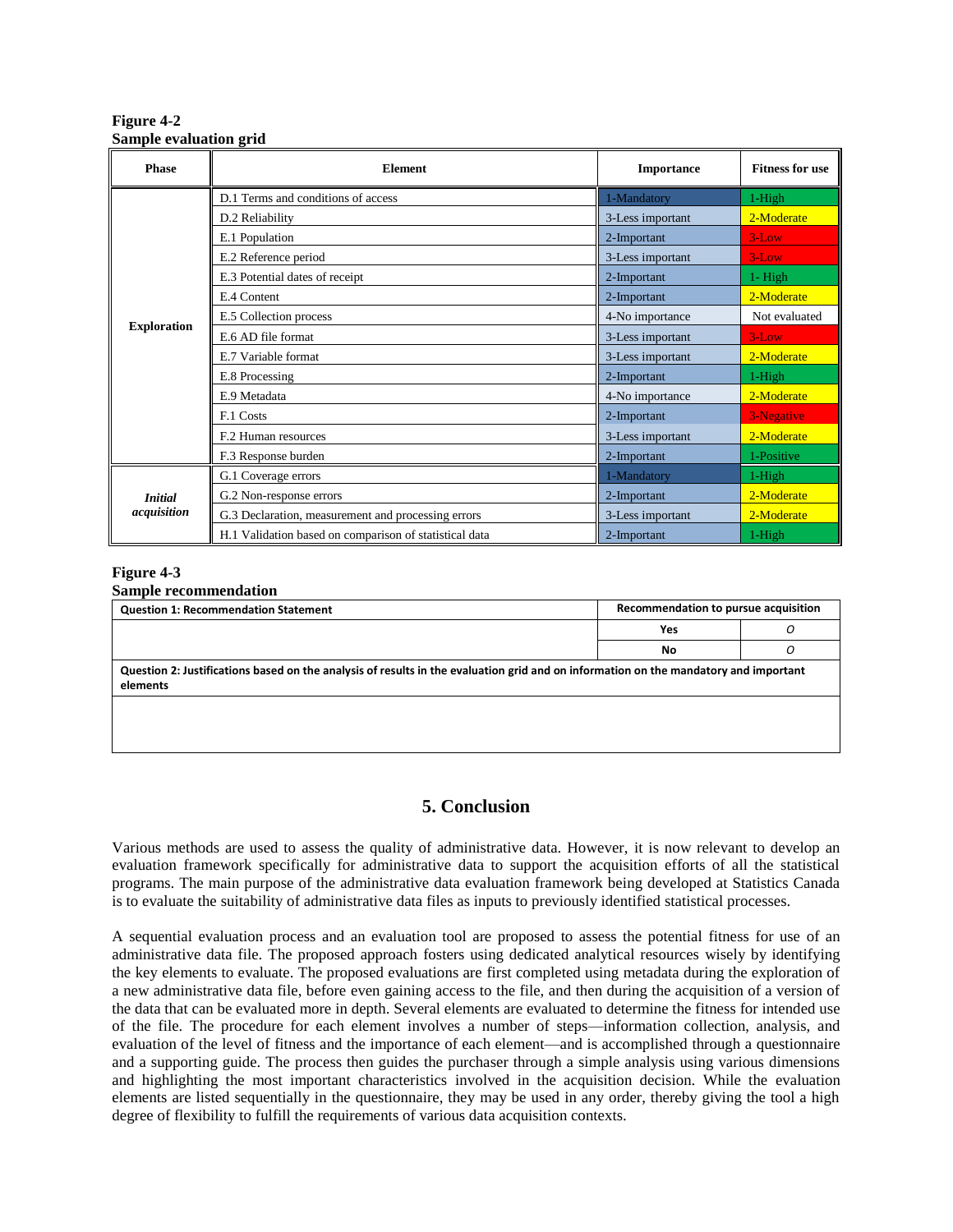**Figure 4-2 Sample evaluation grid**

| <b>Phase</b>       | <b>Element</b>                                         | Importance       | <b>Fitness for use</b> |
|--------------------|--------------------------------------------------------|------------------|------------------------|
|                    | D.1 Terms and conditions of access                     | 1-Mandatory      | 1-High                 |
|                    | D.2 Reliability                                        | 3-Less important | 2-Moderate             |
|                    | E.1 Population                                         | 2-Important      | $3$ -Low               |
| <b>Exploration</b> | E.2 Reference period                                   | 3-Less important | $3$ -Low               |
|                    | E.3 Potential dates of receipt                         | 2-Important      | $1 - High$             |
|                    | E.4 Content                                            | 2-Important      | 2-Moderate             |
|                    | E.5 Collection process                                 | 4-No importance  | Not evaluated          |
|                    | E.6 AD file format                                     | 3-Less important | $3$ -Low               |
|                    | E.7 Variable format                                    | 3-Less important | 2-Moderate             |
|                    | E.8 Processing                                         | 2-Important      | 1-High                 |
|                    | E.9 Metadata                                           | 4-No importance  | 2-Moderate             |
|                    | F.1 Costs                                              | 2-Important      | 3-Negative             |
|                    | F.2 Human resources                                    | 3-Less important | 2-Moderate             |
|                    | F.3 Response burden                                    | 2-Important      | 1-Positive             |
|                    | G.1 Coverage errors                                    | 1-Mandatory      | 1-High                 |
| <b>Initial</b>     | G.2 Non-response errors                                | 2-Important      | 2-Moderate             |
| acquisition        | G.3 Declaration, measurement and processing errors     | 3-Less important | 2-Moderate             |
|                    | H.1 Validation based on comparison of statistical data | 2-Important      | 1-High                 |

## **Figure 4-3**

| <b>Question 1: Recommendation Statement</b>                                                                                                      | Recommendation to pursue acquisition |   |  |
|--------------------------------------------------------------------------------------------------------------------------------------------------|--------------------------------------|---|--|
|                                                                                                                                                  | Yes                                  |   |  |
|                                                                                                                                                  | No                                   | Ω |  |
| Question 2: Justifications based on the analysis of results in the evaluation grid and on information on the mandatory and important<br>elements |                                      |   |  |
|                                                                                                                                                  |                                      |   |  |
|                                                                                                                                                  |                                      |   |  |

## **5. Conclusion**

Various methods are used to assess the quality of administrative data. However, it is now relevant to develop an evaluation framework specifically for administrative data to support the acquisition efforts of all the statistical programs. The main purpose of the administrative data evaluation framework being developed at Statistics Canada is to evaluate the suitability of administrative data files as inputs to previously identified statistical processes.

A sequential evaluation process and an evaluation tool are proposed to assess the potential fitness for use of an administrative data file. The proposed approach fosters using dedicated analytical resources wisely by identifying the key elements to evaluate. The proposed evaluations are first completed using metadata during the exploration of a new administrative data file, before even gaining access to the file, and then during the acquisition of a version of the data that can be evaluated more in depth. Several elements are evaluated to determine the fitness for intended use of the file. The procedure for each element involves a number of steps—information collection, analysis, and evaluation of the level of fitness and the importance of each element—and is accomplished through a questionnaire and a supporting guide. The process then guides the purchaser through a simple analysis using various dimensions and highlighting the most important characteristics involved in the acquisition decision. While the evaluation elements are listed sequentially in the questionnaire, they may be used in any order, thereby giving the tool a high degree of flexibility to fulfill the requirements of various data acquisition contexts.